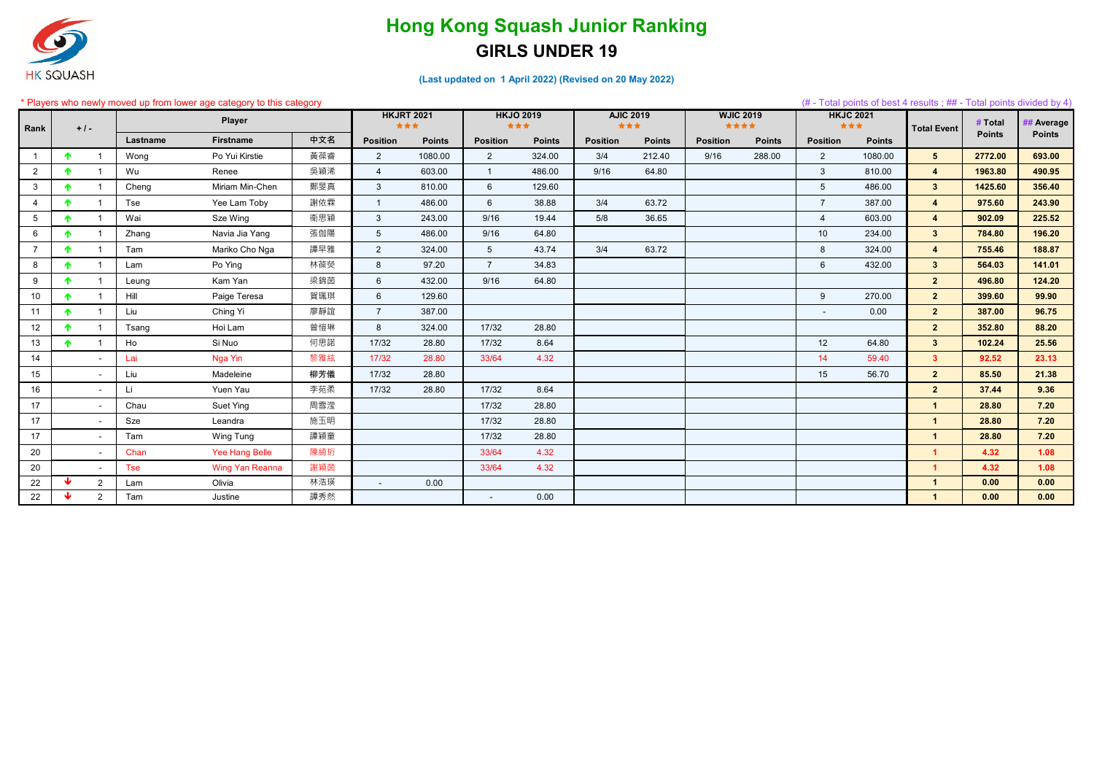#### \* Players who newly moved up from lower age category to this category (# - Total points of best 4 results ; ## - Total points divided by 4)

| Rank            |                 | $+1-$          |          | ayord mid nowly moved approving one ago category to this category<br><b>Player</b> |     | <b>HKJRT 2021</b><br>*** |               | <b>HKJO 2019</b><br>*** |               | <b>AJIC 2019</b><br>女女女 |               | <b>WJIC 2019</b><br>**** |               | <b>HKJC 2021</b><br>*** |               | <b>Total Event</b>   | <b>Total politic divided by T</b><br># Total | <b>Average</b> |
|-----------------|-----------------|----------------|----------|------------------------------------------------------------------------------------|-----|--------------------------|---------------|-------------------------|---------------|-------------------------|---------------|--------------------------|---------------|-------------------------|---------------|----------------------|----------------------------------------------|----------------|
|                 |                 |                | Lastname | <b>Firstname</b>                                                                   | 中文名 | <b>Position</b>          | <b>Points</b> | <b>Position</b>         | <b>Points</b> | <b>Position</b>         | <b>Points</b> | <b>Position</b>          | <b>Points</b> | <b>Position</b>         | <b>Points</b> |                      | <b>Points</b>                                | <b>Points</b>  |
|                 | $\blacklozenge$ |                | Wong     | Po Yui Kirstie                                                                     | 黃葆睿 | 2                        | 1080.00       | $\overline{2}$          | 324.00        | 3/4                     | 212.40        | 9/16                     | 288.00        | 2                       | 1080.00       | 5 <sup>5</sup>       | 2772.00                                      | 693.00         |
| $\overline{2}$  |                 |                | Wu       | Renee                                                                              | 吳穎浠 | $\overline{4}$           | 603.00        | $\overline{1}$          | 486.00        | 9/16                    | 64.80         |                          |               | $\mathbf{3}$            | 810.00        | $\overline{4}$       | 1963.80                                      | 490.95         |
| $\mathbf{3}$    |                 |                | Cheng    | Miriam Min-Chen                                                                    | 鄭旻真 | $\mathbf{3}$             | 810.00        | 6                       | 129.60        |                         |               |                          |               | 5                       | 486.00        | 3 <sup>1</sup>       | 1425.60                                      | 356.40         |
|                 | ♠               |                | Tse      | Yee Lam Toby                                                                       | 謝依霖 | $\overline{1}$           | 486.00        | 6                       | 38.88         | 3/4                     | 63.72         |                          |               | $\overline{7}$          | 387.00        | $\overline{4}$       | 975.60                                       | 243.90         |
| $5\overline{)}$ |                 |                | Wai      | Sze Wing                                                                           | 衞思穎 | $\mathbf{3}$             | 243.00        | 9/16                    | 19.44         | 5/8                     | 36.65         |                          |               |                         | 603.00        | $\overline{4}$       | 902.09                                       | 225.52         |
| $6\overline{6}$ |                 |                | Zhang    | Navia Jia Yang                                                                     | 張伽陽 | $5\overline{)}$          | 486.00        | 9/16                    | 64.80         |                         |               |                          |               | 10 <sup>°</sup>         | 234.00        | 3 <sup>1</sup>       | 784.80                                       | 196.20         |
|                 | 个               |                | Tam      | Mariko Cho Nga                                                                     | 譚早雅 | $\overline{2}$           | 324.00        | 5 <sup>5</sup>          | 43.74         | 3/4                     | 63.72         |                          |               | 8                       | 324.00        | $\overline{4}$       | 755.46                                       | 188.87         |
| 8               |                 |                | Lam      | Po Ying                                                                            | 林葆熒 | 8                        | 97.20         | $\overline{7}$          | 34.83         |                         |               |                          |               | $6\overline{6}$         | 432.00        | 3 <sup>1</sup>       | 564.03                                       | 141.01         |
| 9               | $\blacklozenge$ |                | Leung    | Kam Yan                                                                            | 梁錦茵 | 6                        | 432.00        | 9/16                    | 64.80         |                         |               |                          |               |                         |               | $\overline{2}$       | 496.80                                       | 124.20         |
| 10 <sup>°</sup> | 个               |                | Hill     | Paige Teresa                                                                       | 賀珮琪 | 6                        | 129.60        |                         |               |                         |               |                          |               | 9                       | 270.00        | 2 <sup>1</sup>       | 399.60                                       | 99.90          |
| 11              | $\bullet$       |                | Liu      | Ching Yi                                                                           | 廖靜誼 | $\overline{7}$           | 387.00        |                         |               |                         |               |                          |               | $\sim$                  | 0.00          | $\overline{2}$       | 387.00                                       | 96.75          |
| 12              |                 |                | Tsang    | Hoi Lam                                                                            | 曾愷琳 | 8                        | 324.00        | 17/32                   | 28.80         |                         |               |                          |               |                         |               | $\overline{2}$       | 352.80                                       | 88.20          |
| 13              |                 |                | Ho       | Si Nuo                                                                             | 何思諾 | 17/32                    | 28.80         | 17/32                   | 8.64          |                         |               |                          |               | 12                      | 64.80         | 3 <sup>1</sup>       | 102.24                                       | 25.56          |
| 14              |                 |                | Lai      | Nga Yin                                                                            | 黎雅絃 | 17/32                    | 28.80         | 33/64                   | 4.32          |                         |               |                          |               | 14                      | 59.40         | 3 <sup>1</sup>       | 92.52                                        | 23.13          |
| 15              |                 |                | Liu      | Madeleine                                                                          | 柳芳儀 | 17/32                    | 28.80         |                         |               |                         |               |                          |               | 15                      | 56.70         | $2^{\circ}$          | 85.50                                        | 21.38          |
| 16              |                 |                | Li.      | Yuen Yau                                                                           | 李苑柔 | 17/32                    | 28.80         | 17/32                   | 8.64          |                         |               |                          |               |                         |               | $\overline{2}$       | 37.44                                        | 9.36           |
| 17              |                 |                | Chau     | Suet Ying                                                                          | 周雪滢 |                          |               | 17/32                   | 28.80         |                         |               |                          |               |                         |               |                      | 28.80                                        | 7.20           |
| 17              |                 |                | Sze      | Leandra                                                                            | 施玉明 |                          |               | 17/32                   | 28.80         |                         |               |                          |               |                         |               |                      | 28.80                                        | 7.20           |
| 17              |                 |                | Tam      | Wing Tung                                                                          | 譚穎童 |                          |               | 17/32                   | 28.80         |                         |               |                          |               |                         |               | $\blacktriangleleft$ | 28.80                                        | 7.20           |
| 20              |                 |                | Chan     | Yee Hang Belle                                                                     | 陳綺珩 |                          |               | 33/64                   | 4.32          |                         |               |                          |               |                         |               | $\blacktriangleleft$ | 4.32                                         | 1.08           |
| 20              |                 |                | Tse      | <b>Wing Yan Reanna</b>                                                             | 謝穎茵 |                          |               | 33/64                   | 4.32          |                         |               |                          |               |                         |               |                      | 4.32                                         | 1.08           |
| 22              | ₩               | $\overline{2}$ | Lam      | Olivia                                                                             | 林浩瑛 | $\sim$                   | 0.00          |                         |               |                         |               |                          |               |                         |               | $\mathbf{1}$         | 0.00                                         | 0.00           |
| 22              | ₩               | $\overline{2}$ | Tam      | Justine                                                                            | 譚秀然 |                          |               |                         | 0.00          |                         |               |                          |               |                         |               | $\mathbf{1}$         | 0.00                                         | 0.00           |

**(Last updated on 1 April 2022) (Revised on 20 May 2022)**



## **GIRLS UNDER 19 Hong Kong Squash Junior Ranking**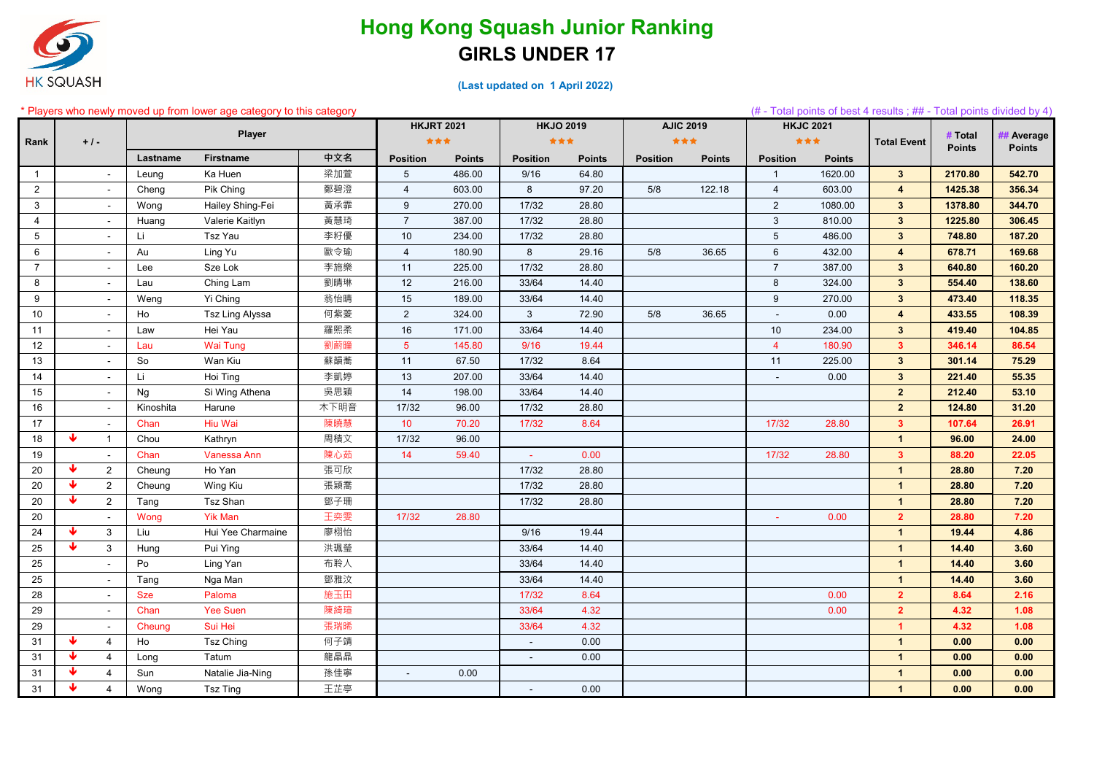

#### **(Last updated on 1 April 2022)**

#### \* Players who newly moved up from lower age category to this category (# - Total points of best 4 results ; ## - Total points divided by 4)

|                 |       |                          |            | <b>Thay are morning indicately non-nower age category to this category</b> |      |                 | <b>HKJRT 2021</b> | <b>HKJO 2019</b> |               | <b>AJIC 2019</b> |               | <b>HKJC 2021</b> |               | $\frac{1}{2}$ order points of boot $\pm$ results, $\frac{1}{2}$ in $\pm$ foldi points divided by $\pm$ |               |                |
|-----------------|-------|--------------------------|------------|----------------------------------------------------------------------------|------|-----------------|-------------------|------------------|---------------|------------------|---------------|------------------|---------------|--------------------------------------------------------------------------------------------------------|---------------|----------------|
| Rank            | $+1-$ |                          |            | <b>Player</b>                                                              |      |                 | ***               | ***              |               | 女女女              |               |                  | ***           | <b>Total Event</b>                                                                                     | # Total       | <b>Average</b> |
|                 |       |                          | Lastname   | <b>Firstname</b>                                                           | 中文名  | <b>Position</b> | <b>Points</b>     | <b>Position</b>  | <b>Points</b> | <b>Position</b>  | <b>Points</b> | <b>Position</b>  | <b>Points</b> |                                                                                                        | <b>Points</b> | <b>Points</b>  |
| $\mathbf{1}$    |       | $\sim$                   | Leung      | Ka Huen                                                                    | 梁加萱  | 5 <sup>5</sup>  | 486.00            | 9/16             | 64.80         |                  |               | $\overline{1}$   | 1620.00       | $3^{\circ}$                                                                                            | 2170.80       | 542.70         |
| $\overline{2}$  |       | $\sim$                   | Cheng      | Pik Ching                                                                  | 鄭碧澄  | 4               | 603.00            | 8                | 97.20         | 5/8              | 122.18        | $\overline{4}$   | 603.00        | $\overline{4}$                                                                                         | 1425.38       | 356.34         |
| 3               |       | $\sim$                   | Wong       | Hailey Shing-Fei                                                           | 黃承霏  | 9               | 270.00            | 17/32            | 28.80         |                  |               | $\overline{2}$   | 1080.00       | $\mathbf{3}$                                                                                           | 1378.80       | 344.70         |
| 4               |       | $\sim$                   | Huang      | Valerie Kaitlyn                                                            | 黃慧琦  | $\overline{7}$  | 387.00            | 17/32            | 28.80         |                  |               | $\mathbf{3}$     | 810.00        | $\mathbf{3}$                                                                                           | 1225.80       | 306.45         |
| $5\phantom{.0}$ |       | $\sim$                   | Li         | Tsz Yau                                                                    | 李籽優  | 10              | 234.00            | 17/32            | 28.80         |                  |               | 5                | 486.00        | $\overline{3}$                                                                                         | 748.80        | 187.20         |
| 6               |       | $\blacksquare$           | Au         | Ling Yu                                                                    | 歐令瑜  | $\overline{4}$  | 180.90            | 8                | 29.16         | 5/8              | 36.65         | $6\phantom{1}6$  | 432.00        | $\overline{4}$                                                                                         | 678.71        | 169.68         |
| $\overline{7}$  |       | $\sim$                   | Lee        | Sze Lok                                                                    | 李施樂  | 11              | 225.00            | 17/32            | 28.80         |                  |               | $\overline{7}$   | 387.00        | $\mathbf{3}$                                                                                           | 640.80        | 160.20         |
| 8               |       | $\blacksquare$           | Lau        | Ching Lam                                                                  | 劉晴琳  | 12              | 216.00            | 33/64            | 14.40         |                  |               | 8                | 324.00        | $\mathbf{3}$                                                                                           | 554.40        | 138.60         |
| 9               |       | $\sim$                   | Weng       | Yi Ching                                                                   | 翁怡晴  | 15              | 189.00            | 33/64            | 14.40         |                  |               | 9                | 270.00        | $\mathbf{3}$                                                                                           | 473.40        | 118.35         |
| 10              |       | $\sim$                   | Ho         | Tsz Ling Alyssa                                                            | 何紫菱  | $\overline{2}$  | 324.00            | 3 <sup>1</sup>   | 72.90         | 5/8              | 36.65         |                  | 0.00          | $\overline{4}$                                                                                         | 433.55        | 108.39         |
| 11              |       | $\sim$                   | Law        | Hei Yau                                                                    | 羅熙柔  | 16              | 171.00            | 33/64            | 14.40         |                  |               | 10               | 234.00        | $\mathbf{3}$                                                                                           | 419.40        | 104.85         |
| 12              |       | $\sim$                   | Lau        | <b>Wai Tung</b>                                                            | 劉蔚瞳  | 5 <sup>5</sup>  | 145.80            | 9/16             | 19.44         |                  |               | $\overline{4}$   | 180.90        | $\mathbf{3}$                                                                                           | 346.14        | 86.54          |
| 13              |       | $\sim$                   | So         | Wan Kiu                                                                    | 蘇韻蕎  | 11              | 67.50             | 17/32            | 8.64          |                  |               | 11               | 225.00        | $\mathbf{3}$                                                                                           | 301.14        | 75.29          |
| 14              |       | $\sim$                   | Li         | Hoi Ting                                                                   | 李凱婷  | 13              | 207.00            | 33/64            | 14.40         |                  |               |                  | 0.00          | $\mathbf{3}$                                                                                           | 221.40        | 55.35          |
| 15              |       | $\sim$                   | Ng         | Si Wing Athena                                                             | 吳思穎  | 14              | 198.00            | 33/64            | 14.40         |                  |               |                  |               | $\overline{2}$                                                                                         | 212.40        | 53.10          |
| 16              |       | $\sim$                   | Kinoshita  | Harune                                                                     | 木下明音 | 17/32           | 96.00             | 17/32            | 28.80         |                  |               |                  |               | $\overline{2}$                                                                                         | 124.80        | 31.20          |
| 17              |       | $\sim$                   | Chan       | Hiu Wai                                                                    | 陳曉慧  | 10 <sup>°</sup> | 70.20             | 17/32            | 8.64          |                  |               | 17/32            | 28.80         | $\mathbf{3}$                                                                                           | 107.64        | 26.91          |
| 18              | Ψ     | $\overline{1}$           | Chou       | Kathryn                                                                    | 周積文  | 17/32           | 96.00             |                  |               |                  |               |                  |               | $\mathbf{1}$                                                                                           | 96.00         | 24.00          |
| 19              |       | $\overline{\phantom{a}}$ | Chan       | Vanessa Ann                                                                | 陳心茹  | 14              | 59.40             |                  | 0.00          |                  |               | 17/32            | 28.80         | $\overline{\mathbf{3}}$                                                                                | 88.20         | 22.05          |
| 20              |       | $\overline{2}$           | Cheung     | Ho Yan                                                                     | 張可欣  |                 |                   | 17/32            | 28.80         |                  |               |                  |               | $\mathbf{1}$                                                                                           | 28.80         | 7.20           |
| 20              |       | $\overline{2}$           | Cheung     | Wing Kiu                                                                   | 張穎喬  |                 |                   | 17/32            | 28.80         |                  |               |                  |               | -1                                                                                                     | 28.80         | 7.20           |
| 20              |       | $\overline{2}$           | Tang       | Tsz Shan                                                                   | 鄧子珊  |                 |                   | 17/32            | 28.80         |                  |               |                  |               | -1                                                                                                     | 28.80         | 7.20           |
| 20              |       | $\blacksquare$           | Wong       | <b>Yik Man</b>                                                             | 王奕雯  | 17/32           | 28.80             |                  |               |                  |               |                  | 0.00          | $\overline{2}$                                                                                         | 28.80         | 7.20           |
| 24              |       | $\mathbf{3}$             | Liu        | Hui Yee Charmaine                                                          | 廖栩怡  |                 |                   | 9/16             | 19.44         |                  |               |                  |               | $\mathbf{1}$                                                                                           | 19.44         | 4.86           |
| 25              | J     | $\mathbf{3}$             | Hung       | Pui Ying                                                                   | 洪珮瑩  |                 |                   | 33/64            | 14.40         |                  |               |                  |               | $\mathbf{1}$                                                                                           | 14.40         | 3.60           |
| 25              |       | $\overline{\phantom{a}}$ | Po         | Ling Yan                                                                   | 布聆人  |                 |                   | 33/64            | 14.40         |                  |               |                  |               | $\mathbf{1}$                                                                                           | 14.40         | 3.60           |
| 25              |       | $\blacksquare$           | Tang       | Nga Man                                                                    | 鄧雅汶  |                 |                   | 33/64            | 14.40         |                  |               |                  |               | $\mathbf{1}$                                                                                           | 14.40         | 3.60           |
| 28              |       | $\sim$                   | <b>Sze</b> | Paloma                                                                     | 施玉田  |                 |                   | 17/32            | 8.64          |                  |               |                  | 0.00          | $\mathbf{2}$                                                                                           | 8.64          | 2.16           |
| 29              |       | $\sim$                   | Chan       | <b>Yee Suen</b>                                                            | 陳綺瑄  |                 |                   | 33/64            | 4.32          |                  |               |                  | 0.00          | $\overline{2}$                                                                                         | 4.32          | 1.08           |
| 29              |       | $\sim$                   | Cheung     | Sui Hei                                                                    | 張瑞晞  |                 |                   | 33/64            | 4.32          |                  |               |                  |               | -1                                                                                                     | 4.32          | 1.08           |
| 31              | ₩     | $\overline{4}$           | Ho         | <b>Tsz Ching</b>                                                           | 何子靖  |                 |                   | $\sim$           | 0.00          |                  |               |                  |               | $\mathbf{1}$                                                                                           | 0.00          | 0.00           |
| 31              | ₩     | 4                        | Long       | Tatum                                                                      | 龍晶晶  |                 |                   | $\blacksquare$   | 0.00          |                  |               |                  |               | $\overline{\mathbf{1}}$                                                                                | 0.00          | 0.00           |
| 31              | ₩     | $\overline{4}$           | Sun        | Natalie Jia-Ning                                                           | 孫佳寧  | $\blacksquare$  | 0.00              |                  |               |                  |               |                  |               | $\mathbf{1}$                                                                                           | 0.00          | 0.00           |
| 31              | w     | $\overline{4}$           | Wong       | <b>Tsz Ting</b>                                                            | 王芷亭  |                 |                   | $\sim$           | 0.00          |                  |               |                  |               | $\mathbf{1}$                                                                                           | 0.00          | 0.00           |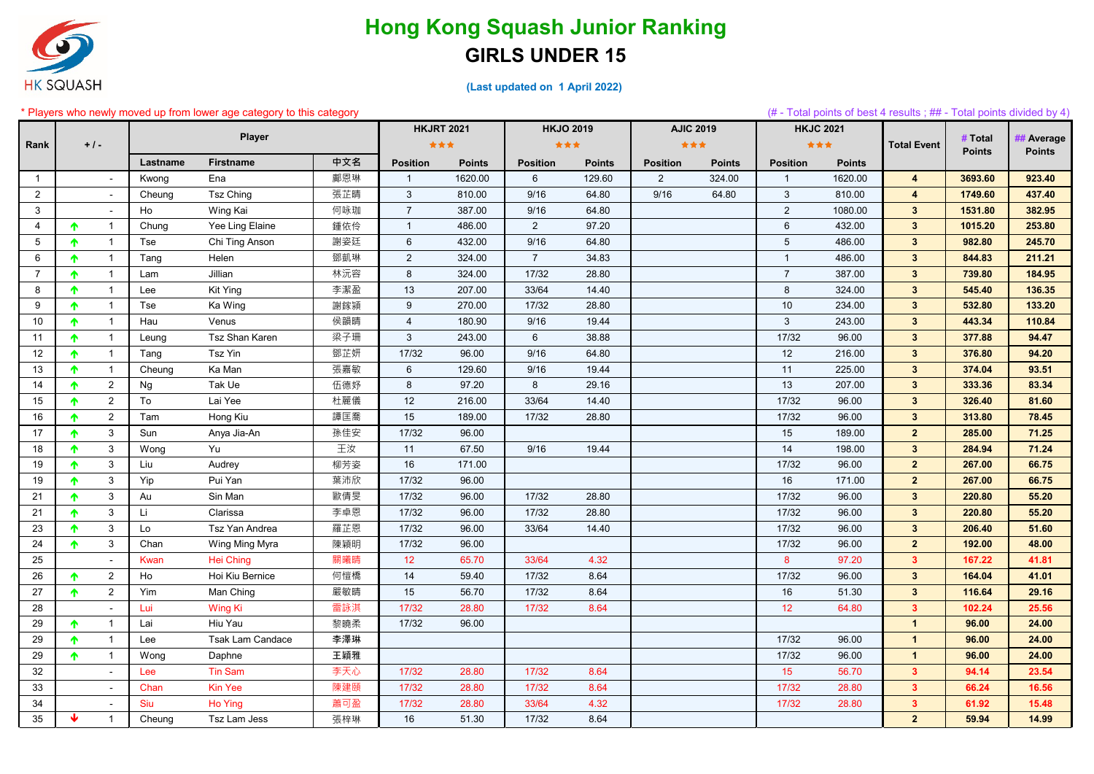

|                |                 |                |           | * Players who newly moved up from lower age category to this category | <b>HKJRT 2021</b><br><b>HKJO 2019</b> |                 |               |                 |               | (# - Total points of best 4 results; ## - Total points divided by 4)<br><b>AJIC 2019</b><br><b>HKJC 2021</b> |               |                 |               |                    |                          |                             |
|----------------|-----------------|----------------|-----------|-----------------------------------------------------------------------|---------------------------------------|-----------------|---------------|-----------------|---------------|--------------------------------------------------------------------------------------------------------------|---------------|-----------------|---------------|--------------------|--------------------------|-----------------------------|
|                |                 |                |           | Player                                                                |                                       |                 |               |                 |               |                                                                                                              |               |                 |               |                    |                          |                             |
| Rank           |                 | $+$ / -        |           |                                                                       |                                       | ***             |               | ***             |               | ***                                                                                                          |               |                 | ***           | <b>Total Event</b> | # Total<br><b>Points</b> | ## Average<br><b>Points</b> |
|                |                 |                | Lastname  | <b>Firstname</b>                                                      | 中文名                                   | <b>Position</b> | <b>Points</b> | <b>Position</b> | <b>Points</b> | <b>Position</b>                                                                                              | <b>Points</b> | <b>Position</b> | <b>Points</b> |                    |                          |                             |
| $\overline{1}$ |                 |                | Kwong     | Ena                                                                   | 鄺恩琳                                   | $\overline{1}$  | 1620.00       | $6\overline{6}$ | 129.60        | $\overline{2}$                                                                                               | 324.00        | $\overline{1}$  | 1620.00       | $\overline{4}$     | 3693.60                  | 923.40                      |
| $\overline{2}$ |                 |                | Cheung    | <b>Tsz Ching</b>                                                      | 張芷晴                                   | $\mathbf{3}$    | 810.00        | 9/16            | 64.80         | 9/16                                                                                                         | 64.80         | $\mathbf{3}$    | 810.00        | 4                  | 1749.60                  | 437.40                      |
| 3              |                 |                | Ho        | Wing Kai                                                              | 何咏珈                                   |                 | 387.00        | 9/16            | 64.80         |                                                                                                              |               | $\overline{2}$  | 1080.00       | $\mathbf{3}$       | 1531.80                  | 382.95                      |
| $\overline{4}$ | $\blacklozenge$ | 1              | Chung     | Yee Ling Elaine                                                       | 鍾依伶                                   | $\mathbf{1}$    | 486.00        | $\overline{2}$  | 97.20         |                                                                                                              |               | $\,6\,$         | 432.00        | $\mathbf{3}$       | 1015.20                  | 253.80                      |
| 5              | $\blacklozenge$ | $\mathbf 1$    | Tse       | Chi Ting Anson                                                        | 謝姿廷                                   | $\,6\,$         | 432.00        | 9/16            | 64.80         |                                                                                                              |               | 5               | 486.00        | $\mathbf{3}$       | 982.80                   | 245.70                      |
| 6              | 个               |                | Tang      | Helen                                                                 | 鄧凱琳                                   | $\overline{2}$  | 324.00        | $\overline{7}$  | 34.83         |                                                                                                              |               | $\overline{1}$  | 486.00        | $\mathbf{3}$       | 844.83                   | 211.21                      |
| $\overline{7}$ | $\blacklozenge$ | $\mathbf{1}$   | Lam       | Jillian                                                               | 林沅容                                   | 8               | 324.00        | 17/32           | 28.80         |                                                                                                              |               | $\overline{7}$  | 387.00        | $\mathbf{3}$       | 739.80                   | 184.95                      |
| 8              | 个               | -1             | Lee       | Kit Ying                                                              | 李潔盈                                   | 13              | 207.00        | 33/64           | 14.40         |                                                                                                              |               | 8               | 324.00        | $\mathbf{3}$       | 545.40                   | 136.35                      |
| 9              | $\blacklozenge$ | $\mathbf{1}$   | Tse       | Ka Wing                                                               | 謝鎵潁                                   | 9               | 270.00        | 17/32           | 28.80         |                                                                                                              |               | 10              | 234.00        | $\mathbf{3}$       | 532.80                   | 133.20                      |
| 10             | $\blacklozenge$ |                | Hau       | Venus                                                                 | 侯韻晴                                   | $\overline{A}$  | 180.90        | 9/16            | 19.44         |                                                                                                              |               | 3               | 243.00        | $\mathbf{3}$       | 443.34                   | 110.84                      |
| 11             | $\blacklozenge$ | $\mathbf 1$    | Leung     | Tsz Shan Karen                                                        | 梁子珊                                   | $\mathbf{3}$    | 243.00        | 6               | 38.88         |                                                                                                              |               | 17/32           | 96.00         | $\mathbf{3}$       | 377.88                   | 94.47                       |
| 12             | 个               |                | Tang      | Tsz Yin                                                               | 鄧芷妍                                   | 17/32           | 96.00         | 9/16            | 64.80         |                                                                                                              |               | 12              | 216.00        | $\mathbf{3}$       | 376.80                   | 94.20                       |
| 13             | $\blacklozenge$ | $\mathbf 1$    | Cheung    | Ka Man                                                                | 張嘉敏                                   | $\,6\,$         | 129.60        | 9/16            | 19.44         |                                                                                                              |               | 11              | 225.00        | $\mathbf{3}$       | 374.04                   | 93.51                       |
| 14             | 个               | $\overline{2}$ | <b>Ng</b> | Tak Ue                                                                | 伍德妤                                   | 8               | 97.20         | 8               | 29.16         |                                                                                                              |               | 13              | 207.00        | $\mathbf{3}$       | 333.36                   | 83.34                       |
| 15             | $\blacklozenge$ | $\overline{2}$ | To        | Lai Yee                                                               | 杜麗儀                                   | 12              | 216.00        | 33/64           | 14.40         |                                                                                                              |               | 17/32           | 96.00         | $\overline{3}$     | 326.40                   | 81.60                       |
| 16             | $\blacklozenge$ | $\overline{2}$ | Tam       | Hong Kiu                                                              | 譚匡喬                                   | 15              | 189.00        | 17/32           | 28.80         |                                                                                                              |               | 17/32           | 96.00         | $\mathbf{3}$       | 313.80                   | 78.45                       |
| 17             | $\blacklozenge$ | 3              | Sun       | Anya Jia-An                                                           | 孫佳安                                   | 17/32           | 96.00         |                 |               |                                                                                                              |               | 15              | 189.00        | $\overline{2}$     | 285.00                   | 71.25                       |
| 18             | 个               | 3              | Wong      | Yu                                                                    | 王汝                                    | 11              | 67.50         | 9/16            | 19.44         |                                                                                                              |               | 14              | 198.00        | $\mathbf{3}$       | 284.94                   | 71.24                       |
| 19             | 个               | 3              | Liu       | Audrey                                                                | 柳芳姿                                   | 16              | 171.00        |                 |               |                                                                                                              |               | 17/32           | 96.00         | $\mathbf{2}$       | 267.00                   | 66.75                       |
| 19             | $\blacklozenge$ | 3              | Yip       | Pui Yan                                                               | 葉沛欣                                   | 17/32           | 96.00         |                 |               |                                                                                                              |               | 16              | 171.00        | $\mathbf{2}$       | 267.00                   | 66.75                       |
| 21             | $\blacklozenge$ | 3              | Au        | Sin Man                                                               | 歐倩旻                                   | 17/32           | 96.00         | 17/32           | 28.80         |                                                                                                              |               | 17/32           | 96.00         | $\mathbf{3}$       | 220.80                   | 55.20                       |
| 21             | $\blacklozenge$ | 3              | Li        | Clarissa                                                              | 李卓恩                                   | 17/32           | 96.00         | 17/32           | 28.80         |                                                                                                              |               | 17/32           | 96.00         | $\mathbf{3}$       | 220.80                   | 55.20                       |
| 23             | $\blacklozenge$ | 3              | Lo        | Tsz Yan Andrea                                                        | 羅芷恩                                   | 17/32           | 96.00         | 33/64           | 14.40         |                                                                                                              |               | 17/32           | 96.00         | $\mathbf{3}$       | 206.40                   | 51.60                       |
| 24             | $\blacklozenge$ | 3              | Chan      | Wing Ming Myra                                                        | 陳穎明                                   | 17/32           | 96.00         |                 |               |                                                                                                              |               | 17/32           | 96.00         | $\mathbf{2}$       | 192.00                   | 48.00                       |
| 25             |                 |                | Kwan      | <b>Hei Ching</b>                                                      | 關曦晴                                   | 12              | 65.70         | 33/64           | 4.32          |                                                                                                              |               | 8               | 97.20         | $\mathbf{3}$       | 167.22                   | 41.81                       |
| 26             | ↑               | $\overline{2}$ | Ho        | Hoi Kiu Bernice                                                       | 何愷橋                                   | 14              | 59.40         | 17/32           | 8.64          |                                                                                                              |               | 17/32           | 96.00         | $\mathbf{3}$       | 164.04                   | 41.01                       |
| 27             | 个               | 2 <sup>7</sup> | Yim       | Man Ching                                                             | 嚴敏晴                                   | 15              | 56.70         | 17/32           | 8.64          |                                                                                                              |               | 16              | 51.30         | $\mathbf{3}$       | 116.64                   | 29.16                       |
| 28             |                 |                | Lui       | Wing Ki                                                               | 雷詠淇                                   | 17/32           | 28.80         | 17/32           | 8.64          |                                                                                                              |               | 12              | 64.80         | $\mathbf{3}$       | 102.24                   | 25.56                       |
| 29             | $\blacklozenge$ | $\mathbf{1}$   | Lai       | Hiu Yau                                                               | 黎曉柔                                   | 17/32           | 96.00         |                 |               |                                                                                                              |               |                 |               | $\mathbf{1}$       | 96.00                    | 24.00                       |
| 29             | ↑               | 1              | Lee       | <b>Tsak Lam Candace</b>                                               | 李澤琳                                   |                 |               |                 |               |                                                                                                              |               | 17/32           | 96.00         | $\mathbf{1}$       | 96.00                    | 24.00                       |
| 29             | $\blacklozenge$ | $\mathbf{1}$   | Wong      | Daphne                                                                | 王穎雅                                   |                 |               |                 |               |                                                                                                              |               | 17/32           | 96.00         | $\mathbf{1}$       | 96.00                    | 24.00                       |
| 32             |                 | $\blacksquare$ | Lee       | <b>Tin Sam</b>                                                        | 李天心                                   | 17/32           | 28.80         | 17/32           | 8.64          |                                                                                                              |               | 15              | 56.70         | $\mathbf{3}$       | 94.14                    | 23.54                       |
| 33             |                 |                | Chan      | <b>Kin Yee</b>                                                        | 陳建頤                                   | 17/32           | 28.80         | 17/32           | 8.64          |                                                                                                              |               | 17/32           | 28.80         | $\mathbf{3}$       | 66.24                    | 16.56                       |
| 34             |                 |                | Siu       | Ho Ying                                                               | 蕭可盈                                   | 17/32           | 28.80         | 33/64           | 4.32          |                                                                                                              |               | 17/32           | 28.80         | $\mathbf{3}$       | 61.92                    | 15.48                       |
| 35             | ₩               | $\mathbf{1}$   | Cheung    | Tsz Lam Jess                                                          | 張梓琳                                   | 16              | 51.30         | 17/32           | 8.64          |                                                                                                              |               |                 |               | $\overline{2}$     | 59.94                    | 14.99                       |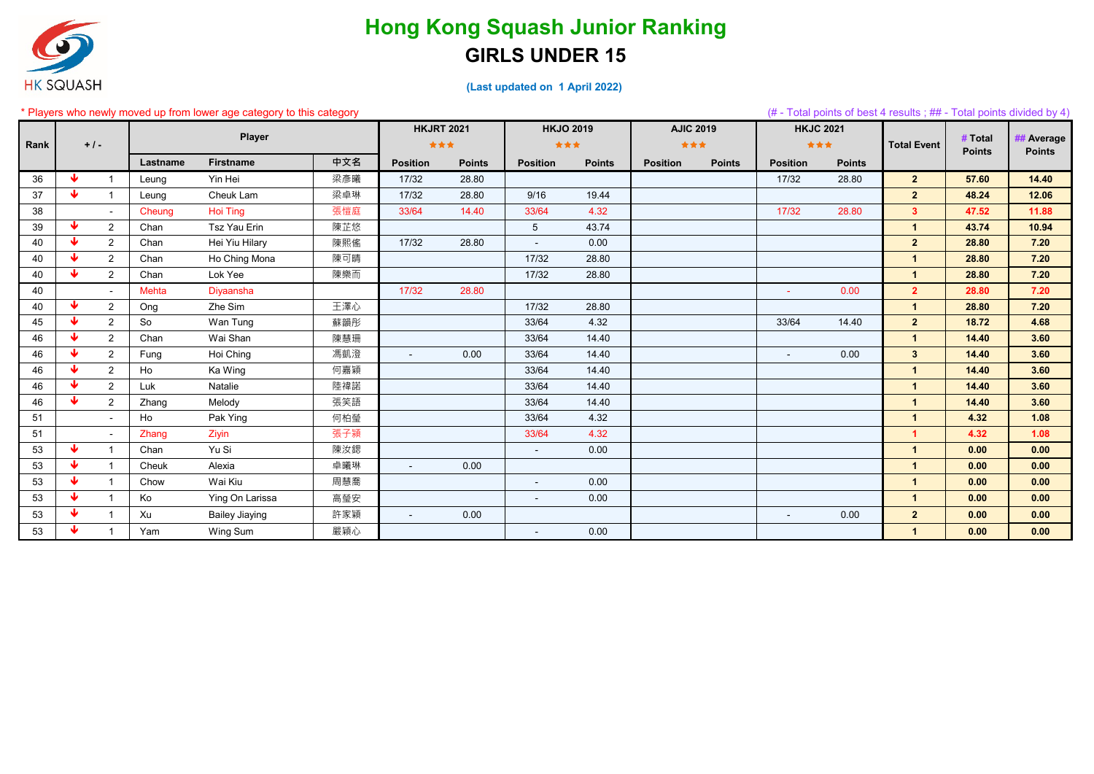

|      |                         |                |              | Players who newly moved up from lower age category to this category |     |                   |               |                  |               |                 |                  |                  |               | (# - Total points of best 4 results ; ## - Total points divided by 4) |                          |                             |
|------|-------------------------|----------------|--------------|---------------------------------------------------------------------|-----|-------------------|---------------|------------------|---------------|-----------------|------------------|------------------|---------------|-----------------------------------------------------------------------|--------------------------|-----------------------------|
|      |                         |                |              |                                                                     |     | <b>HKJRT 2021</b> |               | <b>HKJO 2019</b> |               |                 | <b>AJIC 2019</b> | <b>HKJC 2021</b> |               |                                                                       |                          |                             |
| Rank |                         | $+1-$          |              | Player                                                              |     | ***               |               | ***              |               | ***             |                  | ***              |               | <b>Total Event</b>                                                    | # Total<br><b>Points</b> | ## Average<br><b>Points</b> |
|      |                         |                | Lastname     | <b>Firstname</b>                                                    | 中文名 | <b>Position</b>   | <b>Points</b> | <b>Position</b>  | <b>Points</b> | <b>Position</b> | <b>Points</b>    | <b>Position</b>  | <b>Points</b> |                                                                       |                          |                             |
| 36   | ₩                       |                | Leung        | Yin Hei                                                             | 梁彥曦 | 17/32             | 28.80         |                  |               |                 |                  | 17/32            | 28.80         | 2 <sup>7</sup>                                                        | 57.60                    | 14.40                       |
| 37   | $\blacklozenge$         | $\overline{1}$ | Leung        | Cheuk Lam                                                           | 梁卓琳 | 17/32             | 28.80         | 9/16             | 19.44         |                 |                  |                  |               | 2 <sup>2</sup>                                                        | 48.24                    | 12.06                       |
| 38   |                         |                | Cheung       | <b>Hoi Ting</b>                                                     | 張愷庭 | 33/64             | 14.40         | 33/64            | 4.32          |                 |                  | 17/32            | 28.80         | 3 <sup>1</sup>                                                        | 47.52                    | 11.88                       |
| 39   | ₩                       | $\overline{2}$ | Chan         | Tsz Yau Erin                                                        | 陳芷悠 |                   |               | 5 <sup>5</sup>   | 43.74         |                 |                  |                  |               | $\mathbf{1}$                                                          | 43.74                    | 10.94                       |
| 40   | $\blacklozenge$         | 2              | Chan         | Hei Yiu Hilary                                                      | 陳熙傜 | 17/32             | 28.80         | $\blacksquare$   | 0.00          |                 |                  |                  |               | 2 <sup>1</sup>                                                        | 28.80                    | 7.20                        |
| 40   | $\overline{\mathbf{v}}$ | $\overline{2}$ | Chan         | Ho Ching Mona                                                       | 陳可晴 |                   |               | 17/32            | 28.80         |                 |                  |                  |               | $\overline{\mathbf{1}}$                                               | 28.80                    | 7.20                        |
| 40   | $\overline{\mathbf{v}}$ | $\overline{2}$ | Chan         | Lok Yee                                                             | 陳樂而 |                   |               | 17/32            | 28.80         |                 |                  |                  |               | $\blacktriangleleft$                                                  | 28.80                    | 7.20                        |
| 40   |                         |                | <b>Mehta</b> | Diyaansha                                                           |     | 17/32             | 28.80         |                  |               |                 |                  |                  | 0.00          | 2 <sup>1</sup>                                                        | 28.80                    | 7.20                        |
| 40   | $\blacklozenge$         | $\overline{2}$ | Ong          | Zhe Sim                                                             | 王澤心 |                   |               | 17/32            | 28.80         |                 |                  |                  |               | $\blacktriangleleft$                                                  | 28.80                    | 7.20                        |
| 45   | $\ddot{\mathbf{v}}$     | $\overline{2}$ | So           | Wan Tung                                                            | 蘇韻彤 |                   |               | 33/64            | 4.32          |                 |                  | 33/64            | 14.40         | 2 <sup>1</sup>                                                        | 18.72                    | 4.68                        |
| 46   | $\ddot{\mathbf{v}}$     | $\overline{2}$ | Chan         | Wai Shan                                                            | 陳慧珊 |                   |               | 33/64            | 14.40         |                 |                  |                  |               | $\overline{\mathbf{1}}$                                               | 14.40                    | 3.60                        |
| 46   | ₩                       | $2^{\circ}$    | Fung         | Hoi Ching                                                           | 馮凱澄 | $\sim$            | 0.00          | 33/64            | 14.40         |                 |                  | $\sim$           | 0.00          | 3 <sup>1</sup>                                                        | 14.40                    | 3.60                        |
| 46   | ₩                       | $\overline{2}$ | Ho           | Ka Wing                                                             | 何嘉穎 |                   |               | 33/64            | 14.40         |                 |                  |                  |               | $\blacktriangleleft$                                                  | 14.40                    | 3.60                        |
| 46   | $\blacklozenge$         | 2              | Luk          | Natalie                                                             | 陸禕諾 |                   |               | 33/64            | 14.40         |                 |                  |                  |               | $\blacktriangleleft$                                                  | 14.40                    | 3.60                        |
| 46   | $\overline{\mathbf{v}}$ | $\overline{2}$ | Zhang        | Melody                                                              | 張笑語 |                   |               | 33/64            | 14.40         |                 |                  |                  |               | $\blacktriangleleft$                                                  | 14.40                    | 3.60                        |
| 51   |                         |                | Ho           | Pak Ying                                                            | 何柏瑩 |                   |               | 33/64            | 4.32          |                 |                  |                  |               | $\blacktriangleleft$                                                  | 4.32                     | 1.08                        |
| 51   |                         |                | Zhang        | Ziyin                                                               | 張子潁 |                   |               | 33/64            | 4.32          |                 |                  |                  |               | $\blacktriangleleft$                                                  | 4.32                     | 1.08                        |
| 53   | ₩                       |                | Chan         | Yu Si                                                               | 陳汝鍶 |                   |               | $\sim$           | 0.00          |                 |                  |                  |               | $\blacktriangleleft$                                                  | 0.00                     | 0.00                        |
| 53   | $\ddot{\mathbf{v}}$     |                | Cheuk        | Alexia                                                              | 卓曦琳 | $\blacksquare$    | 0.00          |                  |               |                 |                  |                  |               | $\blacktriangleleft$                                                  | 0.00                     | 0.00                        |
| 53   | $\ddot{\mathbf{v}}$     |                | Chow         | Wai Kiu                                                             | 周慧喬 |                   |               | $\blacksquare$   | 0.00          |                 |                  |                  |               | $\overline{\mathbf{1}}$                                               | 0.00                     | 0.00                        |
| 53   | $\blacklozenge$         |                | Ko           | Ying On Larissa                                                     | 高瑩安 |                   |               | $\sim$           | 0.00          |                 |                  |                  |               | $\blacktriangleleft$                                                  | 0.00                     | 0.00                        |
| 53   | $\blacklozenge$         |                | Xu           | <b>Bailey Jiaying</b>                                               | 許家穎 | $\sim$            | 0.00          |                  |               |                 |                  | $\sim$           | 0.00          | 2 <sub>2</sub>                                                        | 0.00                     | 0.00                        |
| 53   | v.                      |                | Yam          | Wing Sum                                                            | 嚴穎心 |                   |               | $\blacksquare$   | 0.00          |                 |                  |                  |               | $\blacktriangleleft$                                                  | 0.00                     | 0.00                        |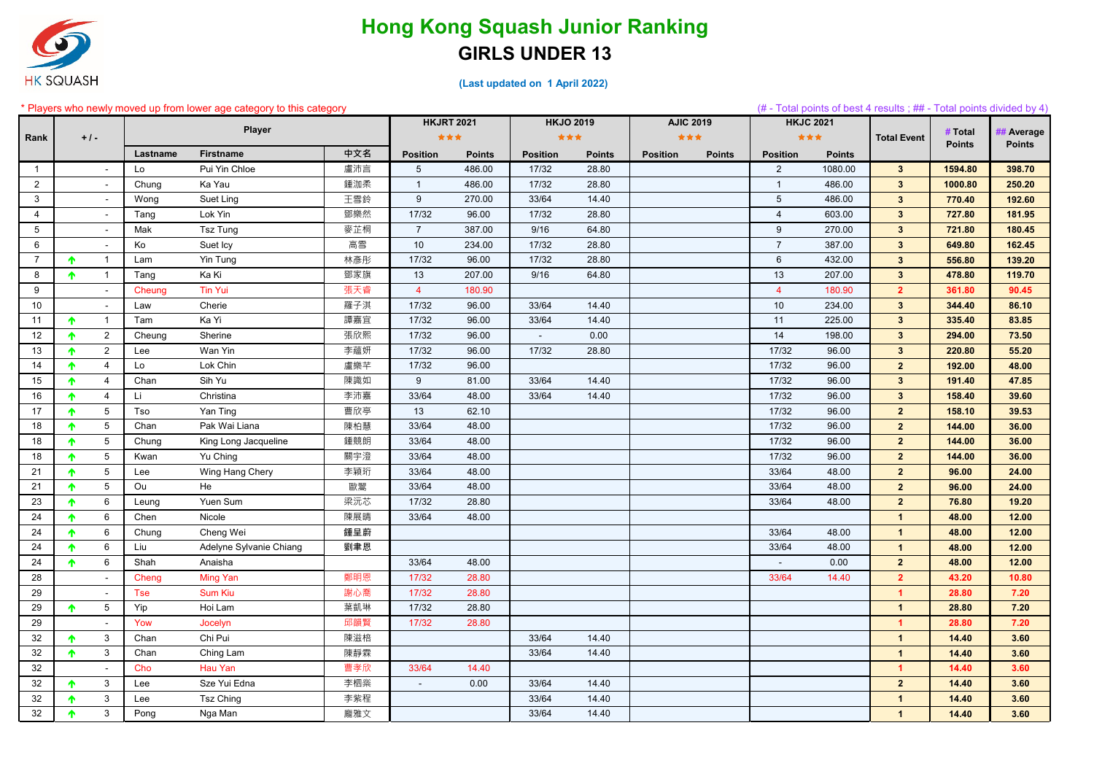

**(Last updated on 1 April 2022)** 

#### \* Players who newly moved up from lower age category to this category (# - Total points of best 4 results ; ## - Total points divided by 4) **Lastname Firstname 中文名 Position Points Position Points Position Points Position Points** 1 | - Lo Pui Yin Chloe | 盧沛言 | 5 486.00 | 17/32 28.80 | - | 2 1080.00 <mark>| 3 | 1594.80 | 398.70</mark> 2 - Chung Ka Yau 鍾泇柔 1 486.00 17/32 28.80 1 486.00 **3 1000.80 250.20** 3 - Wong Suet Ling 王雪鈴 9 270.00 33/64 14.40 5 486.00 **3 770.40 192.60** 4 | - |Tang Lok Yin | 鄧樂然 | 17/32 96.00 | 17/32 28.80 | - | 4 603.00 <mark>| 3 | 727.80 | 181.95</mark> 5 - Mak Tsz Tung 麥芷桐 7 387.00 9/16 64.80 9 270.00 **3 721.80 180.45** 6 - Ko Suet Icy 高雪 10 234.00 17/32 28.80 7 387.00 **3 649.80 162.45** 7 │ 个 1 │ Lam Yin Tung 林彥彤 │ 17/32 96.00 │ 17/32 28.80 │ <mark>556.80 │ 139.20</mark> 8 │ ↑ 1 │ Tang Ka Ki 鄧家旗 │ 13 207.00 │ 9/16 64.80 │ <mark> 478.80 │ 119.70</mark> 9 - Cheung Tin Yui 張天睿 4 180.90 4 180.90 **2 361.80 90.45** 10 | - | Law Cherie | 羅子淇 | 17/32 96.00 | 33/64 14.40 | | 10 234.00 <mark>| 3 | 344.40 | 86.10</mark> 11 ┃ ✦ 1 ┃ Tam Ka Yi ┃ 譚嘉宜 ┃ 17/32 96.00 ┃ 33/64 14.40 ┃ **83.85** 12 2 Cheung Sherine 張欣熙 17/32 96.00 - 0.00 14 198.00 **3 294.00 73.50** 13 ┃ ✦ 2 ┃ Lee Wan Yin ┃ 李蘊妍 ┃ 17/32 96.00 ┃ 17/32 28.80 ┃ **55.20** 14 4 Lo Lok Chin 盧樂芊 17/32 96.00 17/32 96.00 **2 192.00 48.00** 15 ┃ ✦ 4 ┃ Chan Sih Yu ┃ 陳識如 ┃ 9 81.00 ┃ 33/64 14.40 ┃ 17/32 96.00 <mark> 3 ┃ 191.40 ┃ 47.85</mark> 16 | ↑ 4 | Li Christina | 李沛嘉 | 33/64 48.00 | 33/64 14.40 | 17/32 96.00 <mark>| 3 | 158.40 | 39.60</mark> 17 5 Tso Yan Ting 曹欣亭 13 62.10 17/32 96.00 **2 158.10 39.53** 18 5 Chan Pak Wai Liana 陳柏慧 33/64 48.00 17/32 96.00 **2 144.00 36.00** 18 ┃ ✦ 5 ┃ Chung King Long Jacqueline ┃ 鍾競朗 ┃ 33/64 48.00 ┃ 17/32 96.00 <mark> 2 ┃ 144.00 ┃ 36.00</mark> 18 5 Kwan Yu Ching 關宇澄 33/64 48.00 17/32 96.00 **2 144.00 36.00** 21 5 Lee Wing Hang Chery 李穎珩 33/64 48.00 33/64 48.00 **2 96.00 24.00** 21 5 Ou He 歐翯 33/64 48.00 33/64 48.00 **2 96.00 24.00** 23 6 Leung Yuen Sum 梁沅芯 17/32 28.80 33/64 48.00 **2 76.80 19.20** 24 6 Chen Nicole 陳展晴 33/64 48.00 **1 48.00 12.00** 24 6 Chung Cheng Wei 鍾呈蔚 33/64 48.00 **1 48.00 12.00** 24 6 Liu Adelyne Sylvanie Chiang 劉聿恩 33/64 48.00 **1 48.00 12.00** 24 6 Shah Anaisha 33/64 48.00 - 0.00 **2 48.00 12.00** 28 - Cheng Ming Yan 鄭明恩 17/32 28.80 33/64 14.40 **2 43.20 10.80** 29 - Tse Sum Kiu 謝心喬 17/32 28.80 **1 28.80 7.20** 29 5 Yip Hoi Lam 葉凱琳 17/32 28.80 **1 28.80 7.20** 29 - Yow Jocelyn 邱韻賢 17/32 28.80 **1 28.80 7.20** 32 3 Chan Chi Pui 陳滋棓 33/64 14.40 **1 14.40 3.60** 32 3 Chan Ching Lam 陳靜霖 33/64 14.40 **1 14.40 3.60** 32 - Cho Hau Yan 曹孝欣 33/64 14.40 **1 14.40 3.60** 32 3 Lee Sze Yui Edna 李柶橤 - 0.00 33/64 14.40 **2 14.40 3.60** 32 3 Lee Tsz Ching 李紫程 33/64 14.40 **1 14.40 3.60** 32 ┃ ✦ 3 ┃ Pong Nga Man ┃ 龐雅文 ┃ 14.40 ┃ **3.60 Rank + / - Player HKJRT 2021 HKJO 2019 AJIC 2019 HKJC 2021 Total Event # Total Points** *Average* **Points**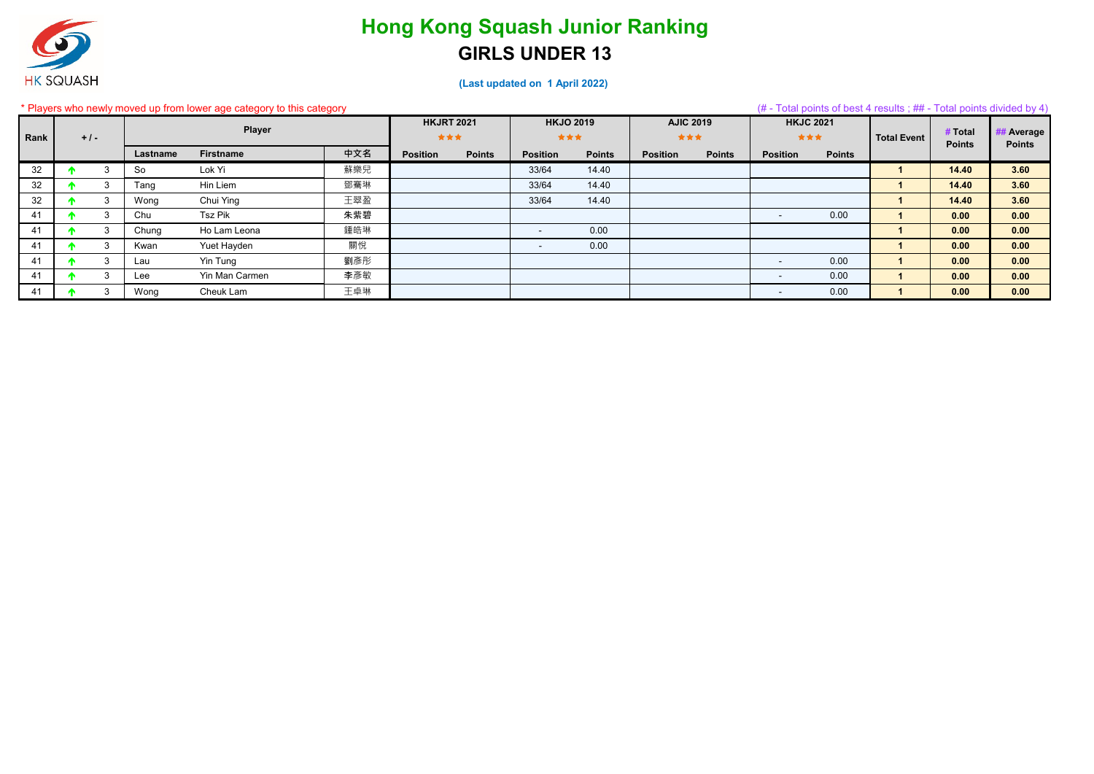

|      |        |    |          | * Players who newly moved up from lower age category to this category |     |                          |               |                          |               |                         |               |                          |               | (# - Total points of best 4 results ; ## - Total points divided by 4) |                          |                             |
|------|--------|----|----------|-----------------------------------------------------------------------|-----|--------------------------|---------------|--------------------------|---------------|-------------------------|---------------|--------------------------|---------------|-----------------------------------------------------------------------|--------------------------|-----------------------------|
| Rank | $+1$ . |    |          | <b>Player</b>                                                         |     | <b>HKJRT 2021</b><br>*** |               | <b>HKJO 2019</b><br>***  |               | <b>AJIC 2019</b><br>★★★ |               | <b>HKJC 2021</b><br>***  |               | <b>Total Event</b>                                                    | # Total<br><b>Points</b> | ## Average<br><b>Points</b> |
|      |        |    | Lastname | <b>Firstname</b>                                                      | 中文名 | <b>Position</b>          | <b>Points</b> | <b>Position</b>          | <b>Points</b> | <b>Position</b>         | <b>Points</b> | <b>Position</b>          | <b>Points</b> |                                                                       |                          |                             |
| 32   |        |    | So       | Lok Yi                                                                | 蘇樂兒 |                          |               | 33/64                    | 14.40         |                         |               |                          |               |                                                                       | 14.40                    | 3.60                        |
| 32   |        | 3  | Tang     | Hin Liem                                                              | 鄧騫琳 |                          |               | 33/64                    | 14.40         |                         |               |                          |               |                                                                       | 14.40                    | 3.60                        |
| 32   |        | 3  | Wong     | Chui Ying                                                             | 王翠盈 |                          |               | 33/64                    | 14.40         |                         |               |                          |               |                                                                       | 14.40                    | 3.60                        |
| 41   |        |    | Chu      | <b>Tsz Pik</b>                                                        | 朱紫碧 |                          |               |                          |               |                         |               | $\overline{\phantom{a}}$ | 0.00          |                                                                       | 0.00                     | 0.00                        |
| 41   |        | 3  | Chung    | Ho Lam Leona                                                          | 鍾皓琳 |                          |               | $\overline{\phantom{a}}$ | 0.00          |                         |               |                          |               |                                                                       | 0.00                     | 0.00                        |
| 41   |        | 3  | Kwan     | Yuet Hayden                                                           | 關悅  |                          |               |                          | 0.00          |                         |               |                          |               |                                                                       | 0.00                     | 0.00                        |
| 41   |        |    | Lau      | Yin Tung                                                              | 劉彥彤 |                          |               |                          |               |                         |               | $\sim$                   | 0.00          |                                                                       | 0.00                     | 0.00                        |
| 41   |        |    | Lee      | Yin Man Carmen                                                        | 李彥敏 |                          |               |                          |               |                         |               | $\sim$                   | 0.00          |                                                                       | 0.00                     | 0.00                        |
| 41   |        | -3 | Wong     | Cheuk Lam                                                             | 王卓琳 |                          |               |                          |               |                         |               | $\sim$                   | 0.00          |                                                                       | 0.00                     | 0.00                        |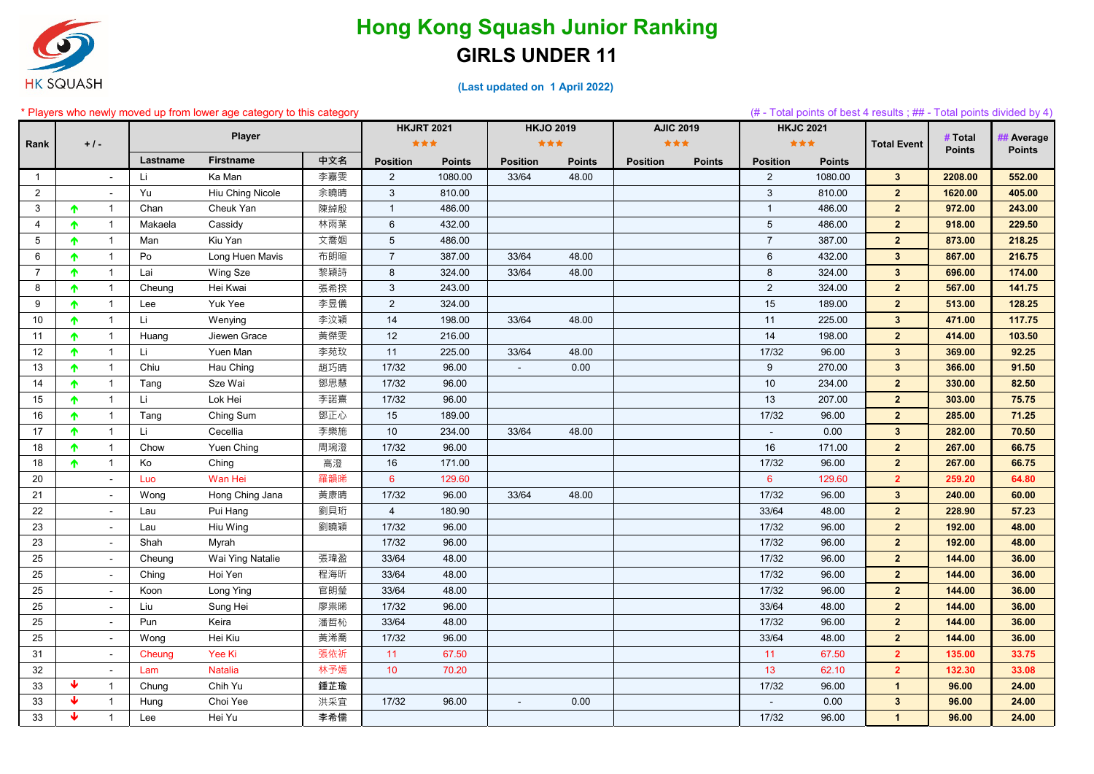

|                 |                 |                          |          | Players who newly moved up from lower age category to this category |     |                   |               |                 |                  |                  |               |                 |                  | (# - Total points of best 4 results ; ## - Total points divided by 4) |                          |                            |
|-----------------|-----------------|--------------------------|----------|---------------------------------------------------------------------|-----|-------------------|---------------|-----------------|------------------|------------------|---------------|-----------------|------------------|-----------------------------------------------------------------------|--------------------------|----------------------------|
|                 |                 |                          |          |                                                                     |     | <b>HKJRT 2021</b> |               |                 | <b>HKJO 2019</b> | <b>AJIC 2019</b> |               |                 | <b>HKJC 2021</b> |                                                                       |                          |                            |
| Rank            |                 | $+1-$                    |          | <b>Player</b>                                                       |     | ***               |               | ***             |                  | ***              |               |                 | ***              | <b>Total Event</b>                                                    | # Total<br><b>Points</b> | # Average<br><b>Points</b> |
|                 |                 |                          | Lastname | <b>Firstname</b>                                                    | 中文名 | <b>Position</b>   | <b>Points</b> | <b>Position</b> | <b>Points</b>    | <b>Position</b>  | <b>Points</b> | <b>Position</b> | <b>Points</b>    |                                                                       |                          |                            |
| -1              |                 |                          | Li       | Ka Man                                                              | 李嘉雯 | $\overline{2}$    | 1080.00       | 33/64           | 48.00            |                  |               | $\overline{2}$  | 1080.00          | $3\phantom{a}$                                                        | 2208.00                  | 552.00                     |
| $\overline{2}$  |                 |                          | Yu       | Hiu Ching Nicole                                                    | 余曉晴 | 3                 | 810.00        |                 |                  |                  |               | $\mathbf{3}$    | 810.00           | 2 <sup>2</sup>                                                        | 1620.00                  | 405.00                     |
| 3               | ↑               | -1                       | Chan     | Cheuk Yan                                                           | 陳綽殷 | $\mathbf{1}$      | 486.00        |                 |                  |                  |               | $\overline{1}$  | 486.00           | 2 <sup>2</sup>                                                        | 972.00                   | 243.00                     |
| $\overline{4}$  | $\blacklozenge$ | -1                       | Makaela  | Cassidy                                                             | 林雨葉 | 6                 | 432.00        |                 |                  |                  |               | $\sqrt{5}$      | 486.00           | 2 <sup>2</sup>                                                        | 918.00                   | 229.50                     |
| $5\phantom{.0}$ | 个               |                          | Man      | Kiu Yan                                                             | 文喬姻 | $5\phantom{.0}$   | 486.00        |                 |                  |                  |               | $\overline{7}$  | 387.00           | $\overline{2}$                                                        | 873.00                   | 218.25                     |
| 6               | 个               | -1                       | Po       | Long Huen Mavis                                                     | 布朗暄 | $\overline{7}$    | 387.00        | 33/64           | 48.00            |                  |               | $6\phantom{1}$  | 432.00           | $\mathbf{3}$                                                          | 867.00                   | 216.75                     |
| $\overline{7}$  | 个               |                          | Lai      | Wing Sze                                                            | 黎穎詩 | 8                 | 324.00        | 33/64           | 48.00            |                  |               | $\bf 8$         | 324.00           | $3\phantom{a}$                                                        | 696.00                   | 174.00                     |
| 8               | 个               | -1                       | Cheung   | Hei Kwai                                                            | 張希揆 | 3 <sup>1</sup>    | 243.00        |                 |                  |                  |               | $\overline{2}$  | 324.00           | $\overline{2}$                                                        | 567.00                   | 141.75                     |
| 9               | 个               |                          | Lee      | Yuk Yee                                                             | 李昱儀 | $\overline{2}$    | 324.00        |                 |                  |                  |               | 15              | 189.00           | $\overline{2}$                                                        | 513.00                   | 128.25                     |
| 10              | 个               | -1                       | Li       | Wenying                                                             | 李汶穎 | 14                | 198.00        | 33/64           | 48.00            |                  |               | 11              | 225.00           | $\mathbf{3}$                                                          | 471.00                   | 117.75                     |
| 11              | 个               |                          | Huang    | Jiewen Grace                                                        | 黃傑雯 | 12                | 216.00        |                 |                  |                  |               | 14              | 198.00           | $\overline{2}$                                                        | 414.00                   | 103.50                     |
| 12              | ↑               |                          | Li       | Yuen Man                                                            | 李苑玟 | 11                | 225.00        | 33/64           | 48.00            |                  |               | 17/32           | 96.00            | $\mathbf{3}$                                                          | 369.00                   | 92.25                      |
| 13              | 个               | 1                        | Chiu     | Hau Ching                                                           | 趙巧晴 | 17/32             | 96.00         | $\blacksquare$  | 0.00             |                  |               | $9\,$           | 270.00           | $3\phantom{a}$                                                        | 366.00                   | 91.50                      |
| 14              | ↑               |                          | Tang     | Sze Wai                                                             | 鄧思慧 | 17/32             | 96.00         |                 |                  |                  |               | 10              | 234.00           | $\overline{2}$                                                        | 330.00                   | 82.50                      |
| 15              | ↑               | $\mathbf 1$              | Li       | Lok Hei                                                             | 李諾熹 | 17/32             | 96.00         |                 |                  |                  |               | 13              | 207.00           | 2 <sup>2</sup>                                                        | 303.00                   | 75.75                      |
| 16              | ↑               |                          | Tang     | Ching Sum                                                           | 鄧正心 | 15                | 189.00        |                 |                  |                  |               | 17/32           | 96.00            | 2 <sup>2</sup>                                                        | 285.00                   | 71.25                      |
| 17              | 个               | $\mathbf 1$              | Li       | Cecellia                                                            | 李樂施 | 10 <sup>°</sup>   | 234.00        | 33/64           | 48.00            |                  |               | $\blacksquare$  | 0.00             | $\mathbf{3}$                                                          | 282.00                   | 70.50                      |
| 18              | 个               |                          | Chow     | Yuen Ching                                                          | 周琬澄 | 17/32             | 96.00         |                 |                  |                  |               | 16              | 171.00           | 2 <sup>2</sup>                                                        | 267.00                   | 66.75                      |
| 18              | 个               | $\overline{1}$           | Ko       | Ching                                                               | 高澄  | 16                | 171.00        |                 |                  |                  |               | 17/32           | 96.00            | 2 <sup>2</sup>                                                        | 267.00                   | 66.75                      |
| 20              |                 |                          | Luo      | Wan Hei                                                             | 羅韻睎 | $6^{\circ}$       | 129.60        |                 |                  |                  |               | $6^{\circ}$     | 129.60           | $\overline{2}$                                                        | 259.20                   | 64.80                      |
| 21              |                 |                          | Wong     | Hong Ching Jana                                                     | 黃康晴 | 17/32             | 96.00         | 33/64           | 48.00            |                  |               | 17/32           | 96.00            | $\mathbf{3}$                                                          | 240.00                   | 60.00                      |
| 22              |                 |                          | Lau      | Pui Hang                                                            | 劉貝珩 | $\overline{4}$    | 180.90        |                 |                  |                  |               | 33/64           | 48.00            | $\overline{2}$                                                        | 228.90                   | 57.23                      |
| 23              |                 |                          | Lau      | Hiu Wing                                                            | 劉曉穎 | 17/32             | 96.00         |                 |                  |                  |               | 17/32           | 96.00            | $\overline{2}$                                                        | 192.00                   | 48.00                      |
| 23              |                 |                          | Shah     | Myrah                                                               |     | 17/32             | 96.00         |                 |                  |                  |               | 17/32           | 96.00            | 2 <sup>2</sup>                                                        | 192.00                   | 48.00                      |
| 25              |                 | $\overline{\phantom{a}}$ | Cheung   | Wai Ying Natalie                                                    | 張瑋盈 | 33/64             | 48.00         |                 |                  |                  |               | 17/32           | 96.00            | 2 <sup>2</sup>                                                        | 144.00                   | 36.00                      |
| 25              |                 |                          | Ching    | Hoi Yen                                                             | 程海昕 | 33/64             | 48.00         |                 |                  |                  |               | 17/32           | 96.00            | $\overline{2}$                                                        | 144.00                   | 36.00                      |
| 25              |                 |                          | Koon     | Long Ying                                                           | 官朗瑩 | 33/64             | 48.00         |                 |                  |                  |               | 17/32           | 96.00            | $\mathbf{2}$                                                          | 144.00                   | 36.00                      |
| 25              |                 |                          | Liu      | Sung Hei                                                            | 廖祟晞 | 17/32             | 96.00         |                 |                  |                  |               | 33/64           | 48.00            | $2^{\circ}$                                                           | 144.00                   | 36.00                      |
| 25              |                 |                          | Pun      | Keira                                                               | 潘哲杺 | 33/64             | 48.00         |                 |                  |                  |               | 17/32           | 96.00            | 2 <sup>2</sup>                                                        | 144.00                   | 36.00                      |
| 25              |                 |                          | Wong     | Hei Kiu                                                             | 黃浠喬 | 17/32             | 96.00         |                 |                  |                  |               | 33/64           | 48.00            | $2^{\circ}$                                                           | 144.00                   | 36.00                      |
| 31              |                 |                          | Cheung   | Yee Ki                                                              | 張依祈 | 11                | 67.50         |                 |                  |                  |               | 11              | 67.50            | 2 <sup>1</sup>                                                        | 135.00                   | 33.75                      |
| 32              |                 |                          | Lam      | <b>Natalia</b>                                                      | 林予嫣 | 10 <sup>°</sup>   | 70.20         |                 |                  |                  |               | 13              | 62.10            | 2 <sup>2</sup>                                                        | 132.30                   | 33.08                      |
| 33              | ₩               | $\mathbf{1}$             | Chung    | Chih Yu                                                             | 鍾芷瑜 |                   |               |                 |                  |                  |               | 17/32           | 96.00            | $\mathbf{1}$                                                          | 96.00                    | 24.00                      |
| 33              | ₩               | $\mathbf{1}$             | Hung     | Choi Yee                                                            | 洪采宜 | 17/32             | 96.00         | $\sim$          | 0.00             |                  |               | $\sim$          | 0.00             | $\mathbf{3}$                                                          | 96.00                    | 24.00                      |
| 33              | ₩               |                          | Lee      | Hei Yu                                                              | 李希儒 |                   |               |                 |                  |                  |               | 17/32           | 96.00            | $\mathbf{1}$                                                          | 96.00                    | 24.00                      |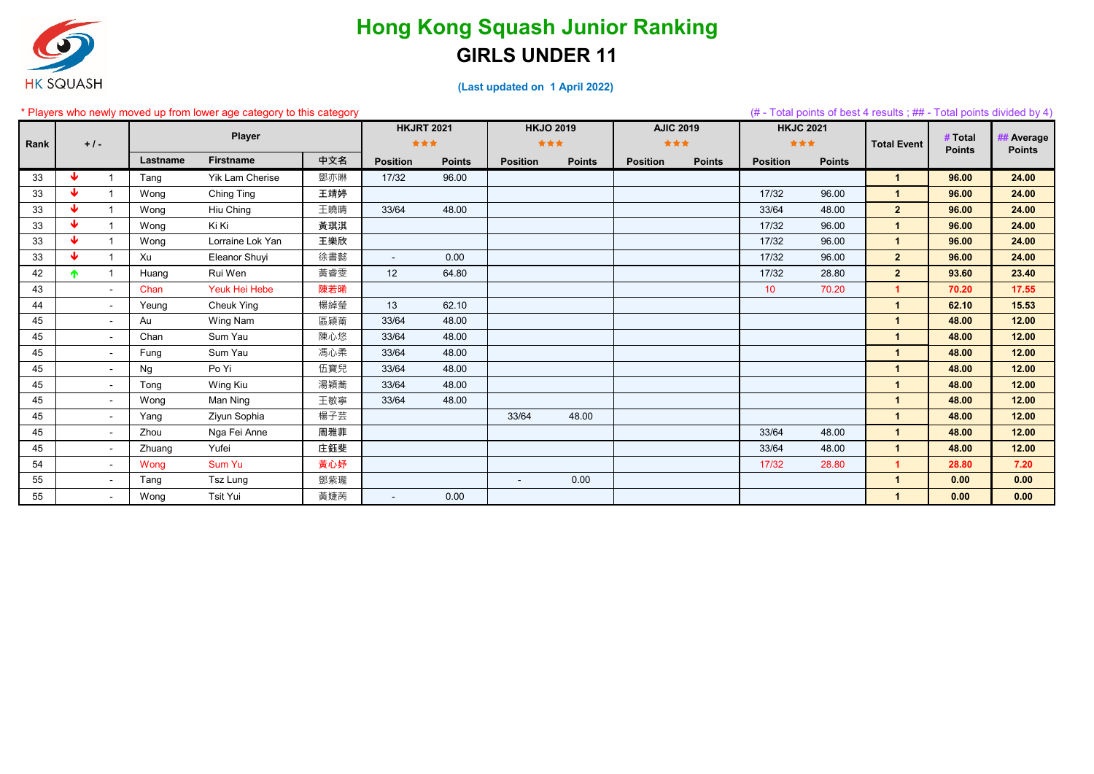

|      |                 |                          |          | * Players who newly moved up from lower age category to this category |     |                   |               |                  |               |                  |               |                  |               |                          |                          | $#$ - Total points of best 4 results; ## - Total points divided by 4) |
|------|-----------------|--------------------------|----------|-----------------------------------------------------------------------|-----|-------------------|---------------|------------------|---------------|------------------|---------------|------------------|---------------|--------------------------|--------------------------|-----------------------------------------------------------------------|
|      |                 |                          |          |                                                                       |     | <b>HKJRT 2021</b> |               | <b>HKJO 2019</b> |               | <b>AJIC 2019</b> |               | <b>HKJC 2021</b> |               |                          |                          |                                                                       |
| Rank | $+1-$           |                          |          | Player                                                                |     | ***               |               | ***              |               | ***              |               | ***              |               | <b>Total Event</b>       | # Total<br><b>Points</b> | ## Average<br><b>Points</b>                                           |
|      |                 |                          | Lastname | <b>Firstname</b>                                                      | 中文名 | <b>Position</b>   | <b>Points</b> | <b>Position</b>  | <b>Points</b> | <b>Position</b>  | <b>Points</b> | <b>Position</b>  | <b>Points</b> |                          |                          |                                                                       |
| 33   | ₩               |                          | Tang     | Yik Lam Cherise                                                       | 鄧亦琳 | 17/32             | 96.00         |                  |               |                  |               |                  |               | $\overline{\mathbf{1}}$  | 96.00                    | 24.00                                                                 |
| 33   | ₩               |                          | Wong     | Ching Ting                                                            | 王靖婷 |                   |               |                  |               |                  |               | 17/32            | 96.00         | $\overline{1}$           | 96.00                    | 24.00                                                                 |
| 33   | ₩               |                          | Wong     | Hiu Ching                                                             | 王曉晴 | 33/64             | 48.00         |                  |               |                  |               | 33/64            | 48.00         | $\overline{2}$           | 96.00                    | 24.00                                                                 |
| 33   | ₩               |                          | Wong     | Ki Ki                                                                 | 黃琪淇 |                   |               |                  |               |                  |               | 17/32            | 96.00         | $\overline{1}$           | 96.00                    | 24.00                                                                 |
| 33   | ₩               |                          | Wong     | Lorraine Lok Yan                                                      | 王樂欣 |                   |               |                  |               |                  |               | 17/32            | 96.00         | $\overline{\mathbf{1}}$  | 96.00                    | 24.00                                                                 |
| 33   | $\blacklozenge$ |                          | Xu       | Eleanor Shuyi                                                         | 徐書懿 | $\sim$            | 0.00          |                  |               |                  |               | 17/32            | 96.00         | $\overline{2}$           | 96.00                    | 24.00                                                                 |
| 42   | $\blacklozenge$ |                          | Huang    | Rui Wen                                                               | 黃睿雯 | 12                | 64.80         |                  |               |                  |               | 17/32            | 28.80         | $\overline{2}$           | 93.60                    | 23.40                                                                 |
| 43   |                 |                          | Chan     | Yeuk Hei Hebe                                                         | 陳若晞 |                   |               |                  |               |                  |               | 10               | 70.20         | $\overline{1}$           | 70.20                    | 17.55                                                                 |
| 44   |                 |                          | Yeung    | <b>Cheuk Ying</b>                                                     | 楊綽瑩 | 13                | 62.10         |                  |               |                  |               |                  |               | $\overline{\mathbf{1}}$  | 62.10                    | 15.53                                                                 |
| 45   |                 |                          | Au       | Wing Nam                                                              | 區穎萳 | 33/64             | 48.00         |                  |               |                  |               |                  |               | $\overline{1}$           | 48.00                    | 12.00                                                                 |
| 45   |                 |                          | Chan     | Sum Yau                                                               | 陳心悠 | 33/64             | 48.00         |                  |               |                  |               |                  |               | $\overline{1}$           | 48.00                    | 12.00                                                                 |
| 45   |                 |                          | Fung     | Sum Yau                                                               | 馮心柔 | 33/64             | 48.00         |                  |               |                  |               |                  |               | $\overline{1}$           | 48.00                    | 12.00                                                                 |
| 45   |                 |                          | Ng       | Po Yi                                                                 | 伍寶兒 | 33/64             | 48.00         |                  |               |                  |               |                  |               | $\overline{1}$           | 48.00                    | 12.00                                                                 |
| 45   |                 | $\overline{\phantom{0}}$ | Tong     | Wing Kiu                                                              | 湯穎蕎 | 33/64             | 48.00         |                  |               |                  |               |                  |               | $\overline{1}$           | 48.00                    | 12.00                                                                 |
| 45   |                 | $\overline{\phantom{a}}$ | Wong     | Man Ning                                                              | 王敏寧 | 33/64             | 48.00         |                  |               |                  |               |                  |               | $\overline{1}$           | 48.00                    | 12.00                                                                 |
| 45   |                 |                          | Yang     | Ziyun Sophia                                                          | 楊子芸 |                   |               | 33/64            | 48.00         |                  |               |                  |               | $\overline{\phantom{a}}$ | 48.00                    | 12.00                                                                 |
| 45   |                 |                          | Zhou     | Nga Fei Anne                                                          | 周雅菲 |                   |               |                  |               |                  |               | 33/64            | 48.00         | $\overline{\mathbf{1}}$  | 48.00                    | 12.00                                                                 |
| 45   |                 | $\overline{\phantom{a}}$ | Zhuang   | Yufei                                                                 | 庄鈺斐 |                   |               |                  |               |                  |               | 33/64            | 48.00         | $\overline{\mathbf{1}}$  | 48.00                    | 12.00                                                                 |
| 54   |                 |                          | Wong     | Sum Yu                                                                | 黃心妤 |                   |               |                  |               |                  |               | 17/32            | 28.80         | -1                       | 28.80                    | 7.20                                                                  |
| 55   |                 |                          | Tang     | Tsz Lung                                                              | 鄧紫瓏 |                   |               | $\blacksquare$   | 0.00          |                  |               |                  |               | 4                        | 0.00                     | 0.00                                                                  |
| 55   |                 |                          | Wong     | Tsit Yui                                                              | 黃婕苪 |                   | 0.00          |                  |               |                  |               |                  |               |                          | 0.00                     | 0.00                                                                  |